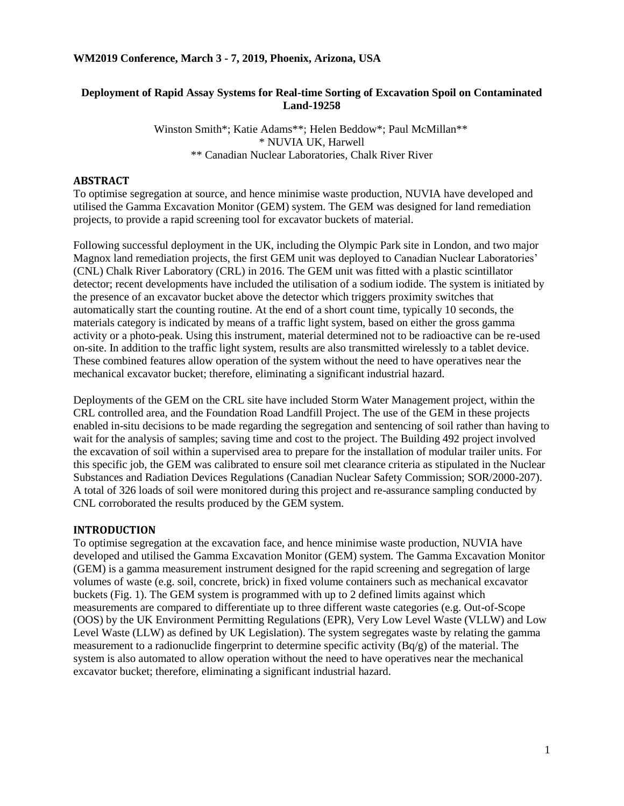### **Deployment of Rapid Assay Systems for Real-time Sorting of Excavation Spoil on Contaminated Land-19258**

Winston Smith\*; Katie Adams\*\*; Helen Beddow\*; Paul McMillan\*\* \* NUVIA UK, Harwell \*\* Canadian Nuclear Laboratories, Chalk River River

### **ABSTRACT**

To optimise segregation at source, and hence minimise waste production, NUVIA have developed and utilised the Gamma Excavation Monitor (GEM) system. The GEM was designed for land remediation projects, to provide a rapid screening tool for excavator buckets of material.

Following successful deployment in the UK, including the Olympic Park site in London, and two major Magnox land remediation projects, the first GEM unit was deployed to Canadian Nuclear Laboratories' (CNL) Chalk River Laboratory (CRL) in 2016. The GEM unit was fitted with a plastic scintillator detector; recent developments have included the utilisation of a sodium iodide. The system is initiated by the presence of an excavator bucket above the detector which triggers proximity switches that automatically start the counting routine. At the end of a short count time, typically 10 seconds, the materials category is indicated by means of a traffic light system, based on either the gross gamma activity or a photo-peak. Using this instrument, material determined not to be radioactive can be re-used on-site. In addition to the traffic light system, results are also transmitted wirelessly to a tablet device. These combined features allow operation of the system without the need to have operatives near the mechanical excavator bucket; therefore, eliminating a significant industrial hazard.

Deployments of the GEM on the CRL site have included Storm Water Management project, within the CRL controlled area, and the Foundation Road Landfill Project. The use of the GEM in these projects enabled in-situ decisions to be made regarding the segregation and sentencing of soil rather than having to wait for the analysis of samples; saving time and cost to the project. The Building 492 project involved the excavation of soil within a supervised area to prepare for the installation of modular trailer units. For this specific job, the GEM was calibrated to ensure soil met clearance criteria as stipulated in the Nuclear Substances and Radiation Devices Regulations (Canadian Nuclear Safety Commission; SOR/2000-207). A total of 326 loads of soil were monitored during this project and re-assurance sampling conducted by CNL corroborated the results produced by the GEM system.

### **INTRODUCTION**

To optimise segregation at the excavation face, and hence minimise waste production, NUVIA have developed and utilised the Gamma Excavation Monitor (GEM) system. The Gamma Excavation Monitor (GEM) is a gamma measurement instrument designed for the rapid screening and segregation of large volumes of waste (e.g. soil, concrete, brick) in fixed volume containers such as mechanical excavator buckets [\(Fig.](#page-1-0) 1). The GEM system is programmed with up to 2 defined limits against which measurements are compared to differentiate up to three different waste categories (e.g. Out-of-Scope (OOS) by the UK Environment Permitting Regulations (EPR), Very Low Level Waste (VLLW) and Low Level Waste (LLW) as defined by UK Legislation). The system segregates waste by relating the gamma measurement to a radionuclide fingerprint to determine specific activity (Bq/g) of the material. The system is also automated to allow operation without the need to have operatives near the mechanical excavator bucket; therefore, eliminating a significant industrial hazard.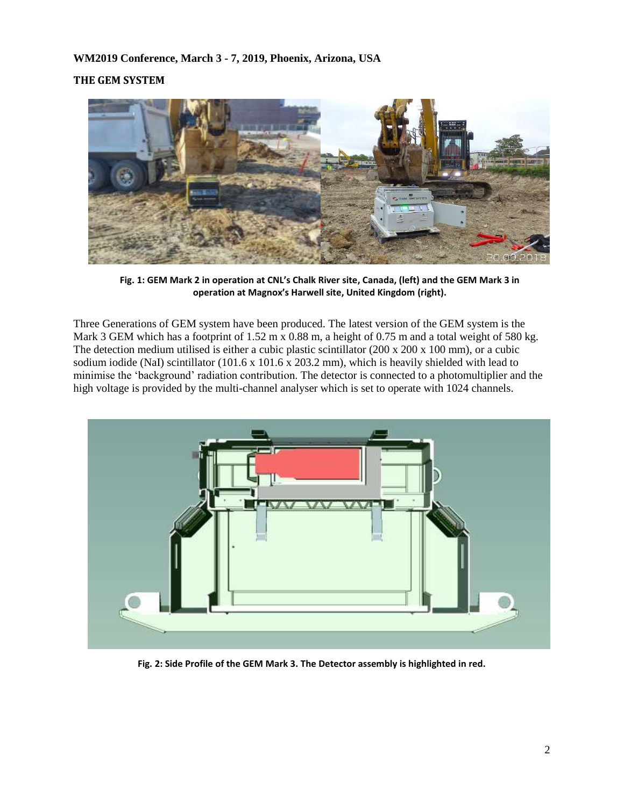# **THE GEM SYSTEM**



**Fig. 1: GEM Mark 2 in operation at CNL's Chalk River site, Canada, (left) and the GEM Mark 3 in operation at Magnox's Harwell site, United Kingdom (right).**

<span id="page-1-0"></span>Three Generations of GEM system have been produced. The latest version of the GEM system is the Mark 3 GEM which has a footprint of 1.52 m x 0.88 m, a height of 0.75 m and a total weight of 580 kg. The detection medium utilised is either a cubic plastic scintillator (200 x 200 x 100 mm), or a cubic sodium iodide (NaI) scintillator (101.6 x 101.6 x 203.2 mm), which is heavily shielded with lead to minimise the 'background' radiation contribution. The detector is connected to a photomultiplier and the high voltage is provided by the multi-channel analyser which is set to operate with 1024 channels.

<span id="page-1-1"></span>

**Fig. 2: Side Profile of the GEM Mark 3. The Detector assembly is highlighted in red.**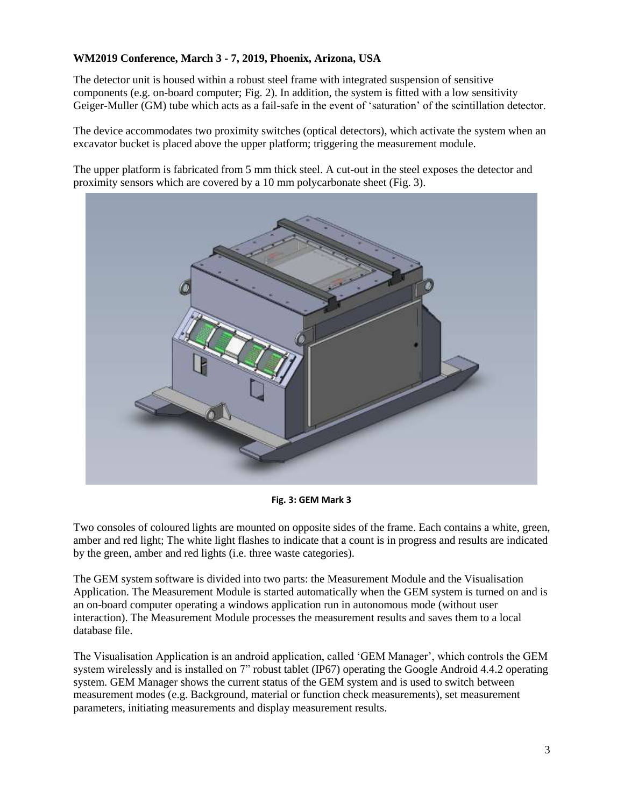The detector unit is housed within a robust steel frame with integrated suspension of sensitive components (e.g. on-board computer; [Fig.](#page-1-1) 2). In addition, the system is fitted with a low sensitivity Geiger-Muller (GM) tube which acts as a fail-safe in the event of 'saturation' of the scintillation detector.

The device accommodates two proximity switches (optical detectors), which activate the system when an excavator bucket is placed above the upper platform; triggering the measurement module.

The upper platform is fabricated from 5 mm thick steel. A cut-out in the steel exposes the detector and proximity sensors which are covered by a 10 mm polycarbonate sheet [\(Fig.](#page-2-0) 3).



**Fig. 3: GEM Mark 3**

<span id="page-2-0"></span>Two consoles of coloured lights are mounted on opposite sides of the frame. Each contains a white, green, amber and red light; The white light flashes to indicate that a count is in progress and results are indicated by the green, amber and red lights (i.e. three waste categories).

The GEM system software is divided into two parts: the Measurement Module and the Visualisation Application. The Measurement Module is started automatically when the GEM system is turned on and is an on-board computer operating a windows application run in autonomous mode (without user interaction). The Measurement Module processes the measurement results and saves them to a local database file.

The Visualisation Application is an android application, called 'GEM Manager', which controls the GEM system wirelessly and is installed on 7" robust tablet (IP67) operating the Google Android 4.4.2 operating system. GEM Manager shows the current status of the GEM system and is used to switch between measurement modes (e.g. Background, material or function check measurements), set measurement parameters, initiating measurements and display measurement results.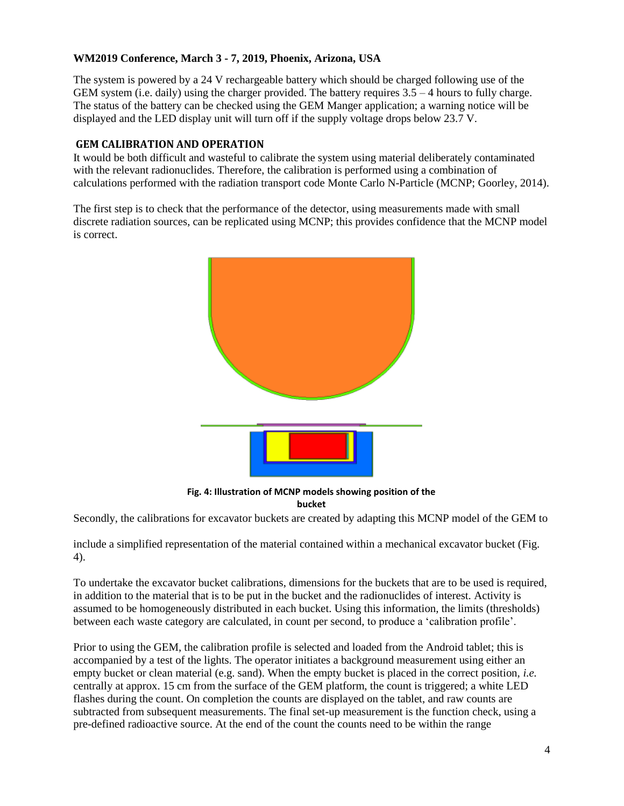The system is powered by a 24 V rechargeable battery which should be charged following use of the GEM system (i.e. daily) using the charger provided. The battery requires  $3.5 - 4$  hours to fully charge. The status of the battery can be checked using the GEM Manger application; a warning notice will be displayed and the LED display unit will turn off if the supply voltage drops below 23.7 V.

# **GEM CALIBRATION AND OPERATION**

It would be both difficult and wasteful to calibrate the system using material deliberately contaminated with the relevant radionuclides. Therefore, the calibration is performed using a combination of calculations performed with the radiation transport code Monte Carlo N-Particle (MCNP; Goorley, 2014).

The first step is to check that the performance of the detector, using measurements made with small discrete radiation sources, can be replicated using MCNP; this provides confidence that the MCNP model is correct.



**Fig. 4: Illustration of MCNP models showing position of the bucket**

<span id="page-3-0"></span>Secondly, the calibrations for excavator buckets are created by adapting this MCNP model of the GEM to

include a simplified representation of the material contained within a mechanical excavator bucket [\(Fig.](#page-3-0) [4\)](#page-3-0).

To undertake the excavator bucket calibrations, dimensions for the buckets that are to be used is required, in addition to the material that is to be put in the bucket and the radionuclides of interest. Activity is assumed to be homogeneously distributed in each bucket. Using this information, the limits (thresholds) between each waste category are calculated, in count per second, to produce a 'calibration profile'.

Prior to using the GEM, the calibration profile is selected and loaded from the Android tablet; this is accompanied by a test of the lights. The operator initiates a background measurement using either an empty bucket or clean material (e.g. sand). When the empty bucket is placed in the correct position, *i.e.* centrally at approx. 15 cm from the surface of the GEM platform, the count is triggered; a white LED flashes during the count. On completion the counts are displayed on the tablet, and raw counts are subtracted from subsequent measurements. The final set-up measurement is the function check, using a pre-defined radioactive source. At the end of the count the counts need to be within the range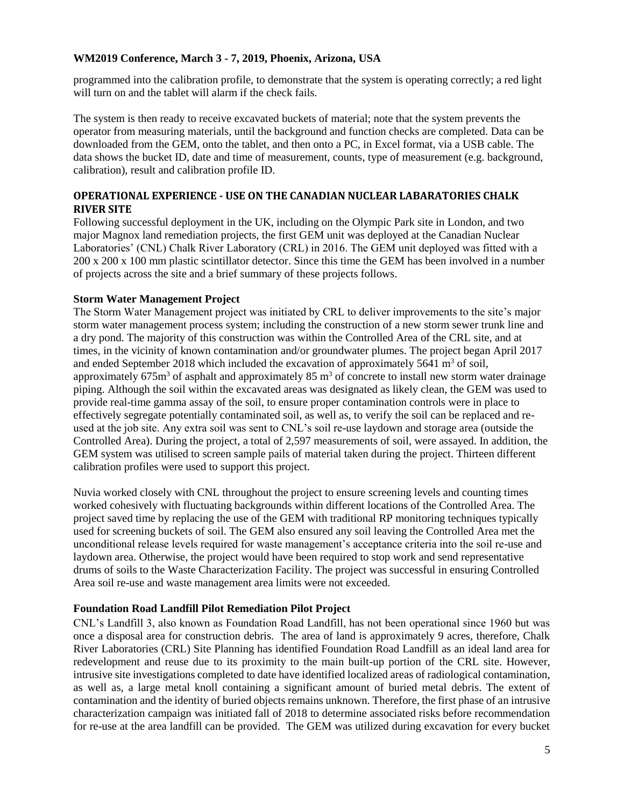programmed into the calibration profile, to demonstrate that the system is operating correctly; a red light will turn on and the tablet will alarm if the check fails.

The system is then ready to receive excavated buckets of material; note that the system prevents the operator from measuring materials, until the background and function checks are completed. Data can be downloaded from the GEM, onto the tablet, and then onto a PC, in Excel format, via a USB cable. The data shows the bucket ID, date and time of measurement, counts, type of measurement (e.g. background, calibration), result and calibration profile ID.

# **OPERATIONAL EXPERIENCE - USE ON THE CANADIAN NUCLEAR LABARATORIES CHALK RIVER SITE**

Following successful deployment in the UK, including on the Olympic Park site in London, and two major Magnox land remediation projects, the first GEM unit was deployed at the Canadian Nuclear Laboratories' (CNL) Chalk River Laboratory (CRL) in 2016. The GEM unit deployed was fitted with a 200 x 200 x 100 mm plastic scintillator detector. Since this time the GEM has been involved in a number of projects across the site and a brief summary of these projects follows.

# **Storm Water Management Project**

The Storm Water Management project was initiated by CRL to deliver improvements to the site's major storm water management process system; including the construction of a new storm sewer trunk line and a dry pond. The majority of this construction was within the Controlled Area of the CRL site, and at times, in the vicinity of known contamination and/or groundwater plumes. The project began April 2017 and ended September 2018 which included the excavation of approximately 5641  $m<sup>3</sup>$  of soil, approximately  $675m<sup>3</sup>$  of asphalt and approximately  $85 m<sup>3</sup>$  of concrete to install new storm water drainage piping. Although the soil within the excavated areas was designated as likely clean, the GEM was used to provide real-time gamma assay of the soil, to ensure proper contamination controls were in place to effectively segregate potentially contaminated soil, as well as, to verify the soil can be replaced and reused at the job site. Any extra soil was sent to CNL's soil re-use laydown and storage area (outside the Controlled Area). During the project, a total of 2,597 measurements of soil, were assayed. In addition, the GEM system was utilised to screen sample pails of material taken during the project. Thirteen different calibration profiles were used to support this project.

Nuvia worked closely with CNL throughout the project to ensure screening levels and counting times worked cohesively with fluctuating backgrounds within different locations of the Controlled Area. The project saved time by replacing the use of the GEM with traditional RP monitoring techniques typically used for screening buckets of soil. The GEM also ensured any soil leaving the Controlled Area met the unconditional release levels required for waste management's acceptance criteria into the soil re-use and laydown area. Otherwise, the project would have been required to stop work and send representative drums of soils to the Waste Characterization Facility. The project was successful in ensuring Controlled Area soil re-use and waste management area limits were not exceeded.

### **Foundation Road Landfill Pilot Remediation Pilot Project**

CNL's Landfill 3, also known as Foundation Road Landfill, has not been operational since 1960 but was once a disposal area for construction debris. The area of land is approximately 9 acres, therefore, Chalk River Laboratories (CRL) Site Planning has identified Foundation Road Landfill as an ideal land area for redevelopment and reuse due to its proximity to the main built-up portion of the CRL site. However, intrusive site investigations completed to date have identified localized areas of radiological contamination, as well as, a large metal knoll containing a significant amount of buried metal debris. The extent of contamination and the identity of buried objects remains unknown. Therefore, the first phase of an intrusive characterization campaign was initiated fall of 2018 to determine associated risks before recommendation for re-use at the area landfill can be provided. The GEM was utilized during excavation for every bucket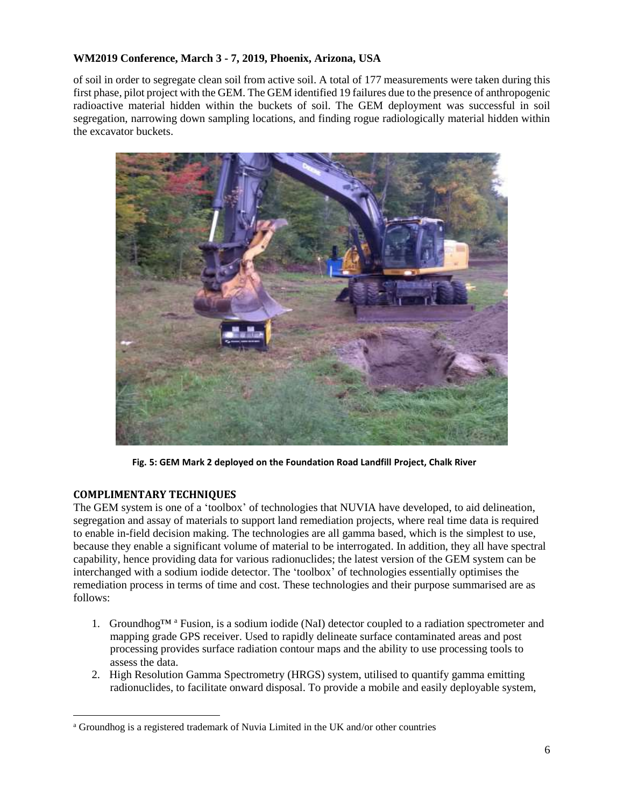of soil in order to segregate clean soil from active soil. A total of 177 measurements were taken during this first phase, pilot project with the GEM. The GEM identified 19 failures due to the presence of anthropogenic radioactive material hidden within the buckets of soil. The GEM deployment was successful in soil segregation, narrowing down sampling locations, and finding rogue radiologically material hidden within the excavator buckets.



**Fig. 5: GEM Mark 2 deployed on the Foundation Road Landfill Project, Chalk River**

# **COMPLIMENTARY TECHNIQUES**

The GEM system is one of a 'toolbox' of technologies that NUVIA have developed, to aid delineation, segregation and assay of materials to support land remediation projects, where real time data is required to enable in-field decision making. The technologies are all gamma based, which is the simplest to use, because they enable a significant volume of material to be interrogated. In addition, they all have spectral capability, hence providing data for various radionuclides; the latest version of the GEM system can be interchanged with a sodium iodide detector. The 'toolbox' of technologies essentially optimises the remediation process in terms of time and cost. These technologies and their purpose summarised are as follows:

- 1. Groundhog™<sup>a</sup> Fusion, is a sodium iodide (NaI) detector coupled to a radiation spectrometer and mapping grade GPS receiver. Used to rapidly delineate surface contaminated areas and post processing provides surface radiation contour maps and the ability to use processing tools to assess the data.
- 2. High Resolution Gamma Spectrometry (HRGS) system, utilised to quantify gamma emitting radionuclides, to facilitate onward disposal. To provide a mobile and easily deployable system,

 $\overline{\phantom{a}}$ <sup>a</sup> Groundhog is a registered trademark of Nuvia Limited in the UK and/or other countries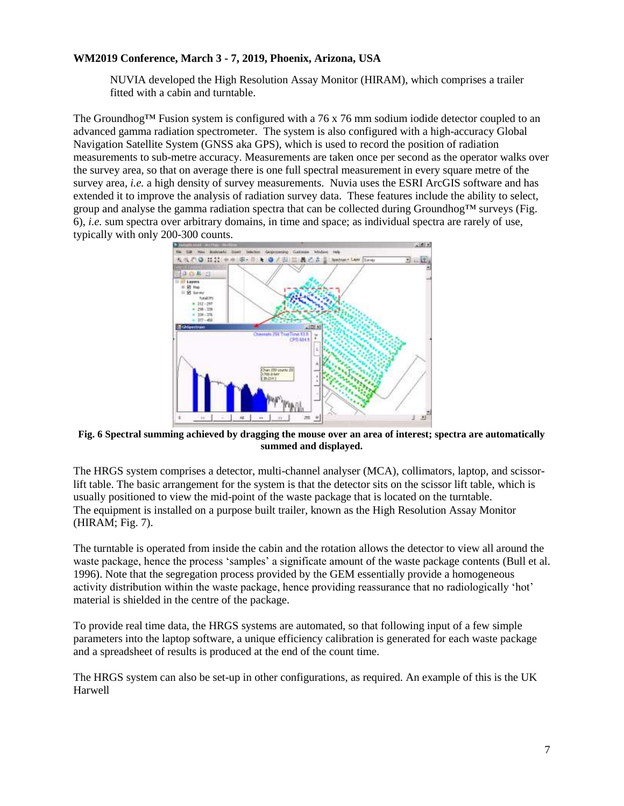NUVIA developed the High Resolution Assay Monitor (HIRAM), which comprises a trailer fitted with a cabin and turntable.

The Groundhog<sup>TM</sup> Fusion system is configured with a 76 x 76 mm sodium iodide detector coupled to an advanced gamma radiation spectrometer. The system is also configured with a high-accuracy Global Navigation Satellite System (GNSS aka GPS), which is used to record the position of radiation measurements to sub-metre accuracy. Measurements are taken once per second as the operator walks over the survey area, so that on average there is one full spectral measurement in every square metre of the survey area, *i.e.* a high density of survey measurements. Nuvia uses the ESRI ArcGIS software and has extended it to improve the analysis of radiation survey data. These features include the ability to select, group and analyse the gamma radiation spectra that can be collected during Groundhog™ surveys (Fig. 6), *i.e.* sum spectra over arbitrary domains, in time and space; as individual spectra are rarely of use, typically with only 200-300 counts.



**Fig. 6 Spectral summing achieved by dragging the mouse over an area of interest; spectra are automatically summed and displayed.**

The HRGS system comprises a detector, multi-channel analyser (MCA), collimators, laptop, and scissorlift table. The basic arrangement for the system is that the detector sits on the scissor lift table, which is usually positioned to view the mid-point of the waste package that is located on the turntable. The equipment is installed on a purpose built trailer, known as the High Resolution Assay Monitor (HIRAM; Fig. 7).

The turntable is operated from inside the cabin and the rotation allows the detector to view all around the waste package, hence the process 'samples' a significate amount of the waste package contents (Bull et al. 1996). Note that the segregation process provided by the GEM essentially provide a homogeneous activity distribution within the waste package, hence providing reassurance that no radiologically 'hot' material is shielded in the centre of the package.

To provide real time data, the HRGS systems are automated, so that following input of a few simple parameters into the laptop software, a unique efficiency calibration is generated for each waste package and a spreadsheet of results is produced at the end of the count time.

The HRGS system can also be set-up in other configurations, as required. An example of this is the UK Harwell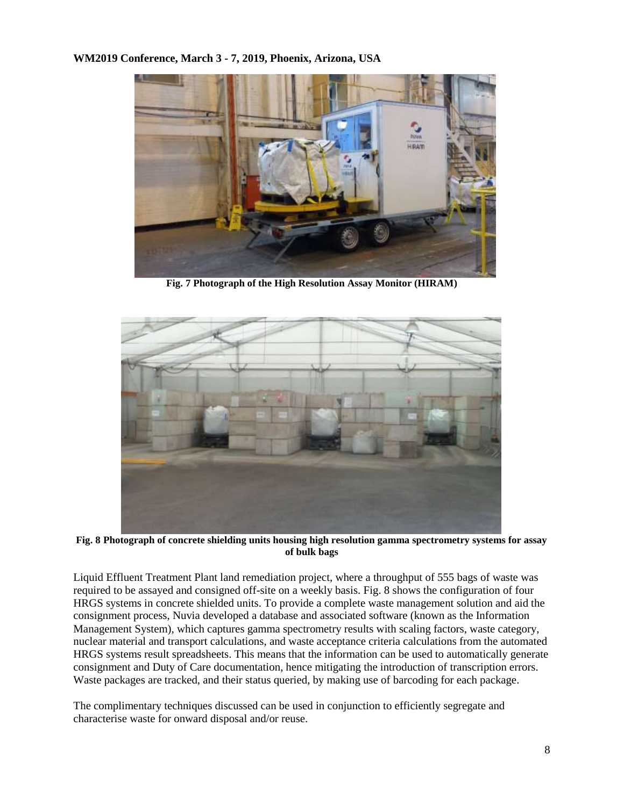

**Fig. 7 Photograph of the High Resolution Assay Monitor (HIRAM)**



**Fig. 8 Photograph of concrete shielding units housing high resolution gamma spectrometry systems for assay of bulk bags**

Liquid Effluent Treatment Plant land remediation project, where a throughput of 555 bags of waste was required to be assayed and consigned off-site on a weekly basis. Fig. 8 shows the configuration of four HRGS systems in concrete shielded units. To provide a complete waste management solution and aid the consignment process, Nuvia developed a database and associated software (known as the Information Management System), which captures gamma spectrometry results with scaling factors, waste category, nuclear material and transport calculations, and waste acceptance criteria calculations from the automated HRGS systems result spreadsheets. This means that the information can be used to automatically generate consignment and Duty of Care documentation, hence mitigating the introduction of transcription errors. Waste packages are tracked, and their status queried, by making use of barcoding for each package.

The complimentary techniques discussed can be used in conjunction to efficiently segregate and characterise waste for onward disposal and/or reuse.